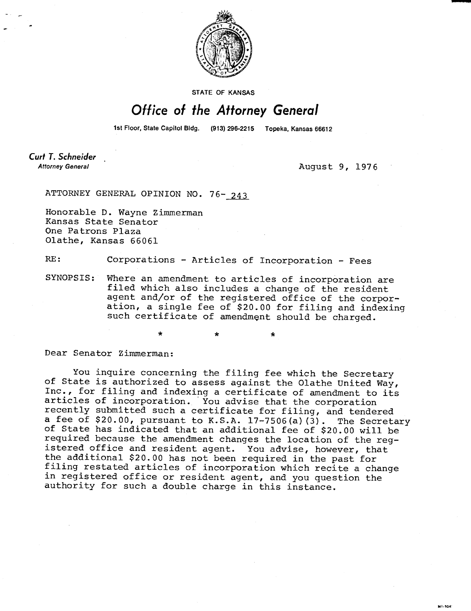

STATE OF KANSAS

## Office of the Attorney General

1st Floor, State Capitol Bldg. (913) 296-2215 Topeka, Kansas 66612

**Curt T. Schneider Attorney General** 

August 9, 1976

ATTORNEY GENERAL OPINION NO. 76- 243

 $\Delta \mathbf{r}$ 

Honorable D. Wayne Zimmerman Kansas State Senator One Patrons Plaza Olathe, Kansas 66061

RE: Corporations - Articles of Incorporation - Fees

SYNOPSIS: Where an amendment to articles of incorporation are filed which also includes a change of the resident agent and/or of the registered office of the corporation, a single fee of \$20.00 for filing and indexing such certificate of amendment should be charged.

Dear Senator Zimmerman:

You inquire concerning the filing fee which the Secretary of State is authorized to assess against the Olathe United Way, Inc., for filing and indexing a certificate of amendment to its articles of incorporation. You advise that the corporation recently submitted such a certificate for filing, and tendered a fee of \$20.00, pursuant to K.S.A. 17-7506(a)(3). The Secretary of State has indicated that an additional fee of \$20.00 will be required because the amendment changes the location of the registered office and resident agent. You advise, however, that the additional \$20.00 has not been required in the past for filing restated articles of incorporation which recite a change in registered office or resident agent, and you question the authority for such a double charge in this instance.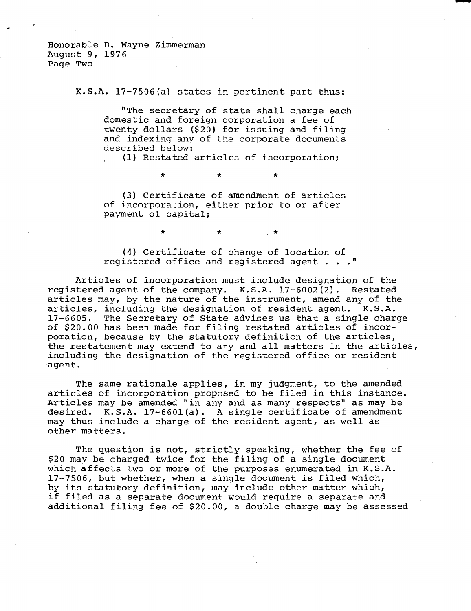Honorable D. Wayne Zimmerman August 9, 1976 Page Two

K.S.A. 17-7506(a) states in pertinent part thus:

"The secretary of state shall charge each domestic and foreign corporation a fee of twenty dollars (\$20) for issuing and filing and indexing any of the corporate documents described below:

(1) Restated articles of incorporation;

(3) Certificate of amendment of articles of incorporation, either prior to or after payment of capital;

 $\star$ 

 $\ddot{\bullet}$ 

(4) Certificate of change of location of registered office and registered agent . . ."

 $\star$ 

Articles of incorporation must include designation of the registered agent of the company. K.S.A. 17-6002(2). Restated articles may, by the nature of the instrument, amend any of the articles, including the designation of resident agent. K.S.A. 17-6605. The Secretary of State advises us that a single charge of \$20.00 has been made for filing restated articles of incorporation, because by the statutory definition of the articles, the restatement may extend to any and all matters in the articles, including the designation of the registered office or resident agent.

The same rationale applies, in my judgment, to the amended articles of incorporation proposed to be filed in this instance. Articles may be amended "in any and as many respects" as may be desired. K.S.A. 17-6601(a). A single certificate of amendment may thus include a change of the resident agent, as well as other matters.

The question is not, strictly speaking, whether the fee of \$20 may be charged twice for the filing of a single document which affects two or more of the purposes enumerated in K.S.A. 17-7506, but whether, when a single document is filed which, by its statutory definition, may include other matter which, if filed as a separate document would require a separate and additional filing fee of \$20.00, a double charge may be assessed